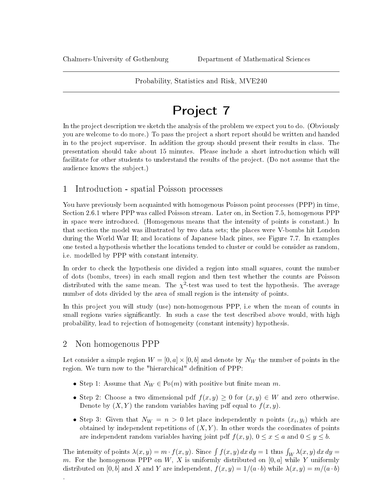### Probability, Statistics and Risk, MVE240

# Project 7

In the project description we sketch the analysis of the problem we expect you to do. (Obviously you are welcome to do more.) To pass the project a short report should be written and handed in to the project supervisor. In addition the group should present their results in class. The presentation should take about 15 minutes. Please include a short introduction which will facilitate for other students to understand the results of the project. (Do not assume that the audience knows the subject.)

## 1 Introduction - spatial Poisson processes

You have previously been acquainted with homogenous Poisson point processes (PPP) in time, Section 2.6.1 where PPP was called Poisson stream. Later on, in Section 7.5, homogenous PPP in space were introduced. (Homogenous means that the intensity of points is constant.) In that section the model was illustrated by two data sets; the places were V-bombs hit London during the World War II; and locations of Japanese black pines, see Figure 7.7. In examples one tested a hypothesis whether the locations tended to cluster or could be consider as random, i.e. modelled by PPP with constant intensity.

In order to check the hypothesis one divided a region into small squares, count the number of dots (bombs, trees) in each small region and then test whether the counts are Poisson distributed with the same mean. The  $\chi^2$ -test was used to test the hypothesis. The average number of dots divided by the area of small region is the intensity of points.

In this project you will study (use) non-homogenous PPP, i.e when the mean of counts in small regions varies significantly. In such a case the test described above would, with high probability, lead to rejection of homogeneity (constant intensity) hypothesis.

## 2 Non homogenous PPP

.

Let consider a simple region  $W = [0, a] \times [0, b]$  and denote by  $N_W$  the number of points in the region. We turn now to the "hierarchical" definition of PPP:

- Step 1: Assume that  $N_W \in \mathrm{Po}(m)$  with positive but finite mean m.
- Step 2: Choose a two dimensional pdf  $f(x, y) \geq 0$  for  $(x, y) \in W$  and zero otherwise. Denote by  $(X, Y)$  the random variables having pdf equal to  $f(x, y)$ .
- Step 3: Given that  $N_W = n > 0$  let place independently n points  $(x_i, y_i)$  which are obtained by independent repetitions of  $(X, Y)$ . In other words the coordinates of points are independent random variables having joint pdf  $f(x, y)$ ,  $0 \le x \le a$  and  $0 \le y \le b$ .

The intensity of points  $\lambda(x, y) = m \cdot f(x, y)$ . Since  $\int f(x, y) dx dy = 1$  thus  $\int_W \lambda(x, y) dx dy =$ m. For the homogenous PPP on W, X is uniformly distributed on  $[0, a]$  while Y uniformly distributed on [0, b] and X and Y are independent,  $f(x, y) = 1/(a \cdot b)$  while  $\lambda(x, y) = m/(a \cdot b)$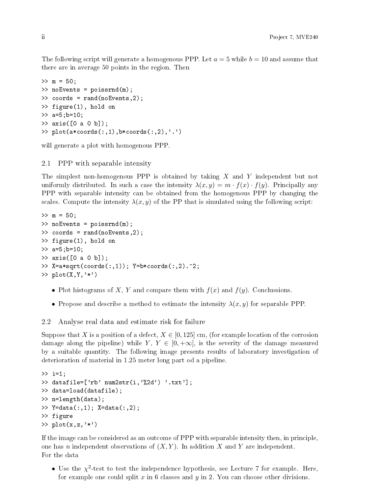The following script will generate a homogenous PPP. Let  $a = 5$  while  $b = 10$  and assume that there are in average 50 points in the region. Then

```
>> m = 50;
>> noEvents = poissrnd(m);
>> coords = rand(noEvents,2);
>> figure(1), hold on
\gg a=5; b=10;
>> axis([0 a 0 b]);
>> plot(a*coords(:,1),b*coords(:,2),'.')
```
will generate a plot with homogenous PPP.

#### 2.1 PPP with separable intensity

The simplest non-homogenous PPP is obtained by taking X and Y independent but not uniformly distributed. In such a case the intensity  $\lambda(x, y) = m \cdot f(x) \cdot f(y)$ . Principally any PPP with separable intensity can be obtained from the homogenous PPP by changing the scales. Compute the intensity  $\lambda(x, y)$  of the PP that is simulated using the following script:

```
>> m = 50;
>> noEvents = poissrnd(m);
>> coords = rand(noEvents,2);
>> figure(1), hold on
>> a=5;b=10;
>> axis([0 a 0 b]);
>> X=a*sqrt(coords(:,1)); Y=b*coords(:,2).^2;
\gg plot(X,Y,'*')
```
- Plot histograms of X, Y and compare them with  $f(x)$  and  $f(y)$ . Conclussions.
- Propose and describe a method to estimate the intensity  $\lambda(x, y)$  for separable PPP.

#### 2.2 Analyse real data and estimate risk for failure

Suppose that X is a position of a defect,  $X \in [0, 125]$  cm, (for example location of the corrosion damage along the pipeline) while Y,  $Y \in [0, +\infty]$ , is the severity of the damage measured by a suitable quantity. The following image presents results of laboratory investigation of deterioration of material in 1.25 meter long part od a pipeline.

```
>> i=1;>> datafile=['rb' num2str(i, '%2d') '.txt'];
>> data=load(datafile);
>> n=length(data);
>> Y=data(:,1); X=data(:,2);
>> figure
>> plot(x, z, '*)
```
If the image can be considered as an outcome of PPP with separable intensity then, in principle, one has n independent observations of  $(X, Y)$ . In addition X and Y are independent. For the data

• Use the  $\chi^2$ -test to test the independence hypothesis, see Lecture 7 for example. Here, for example one could split  $x$  in 6 classes and  $y$  in 2. You can choose other divisions.